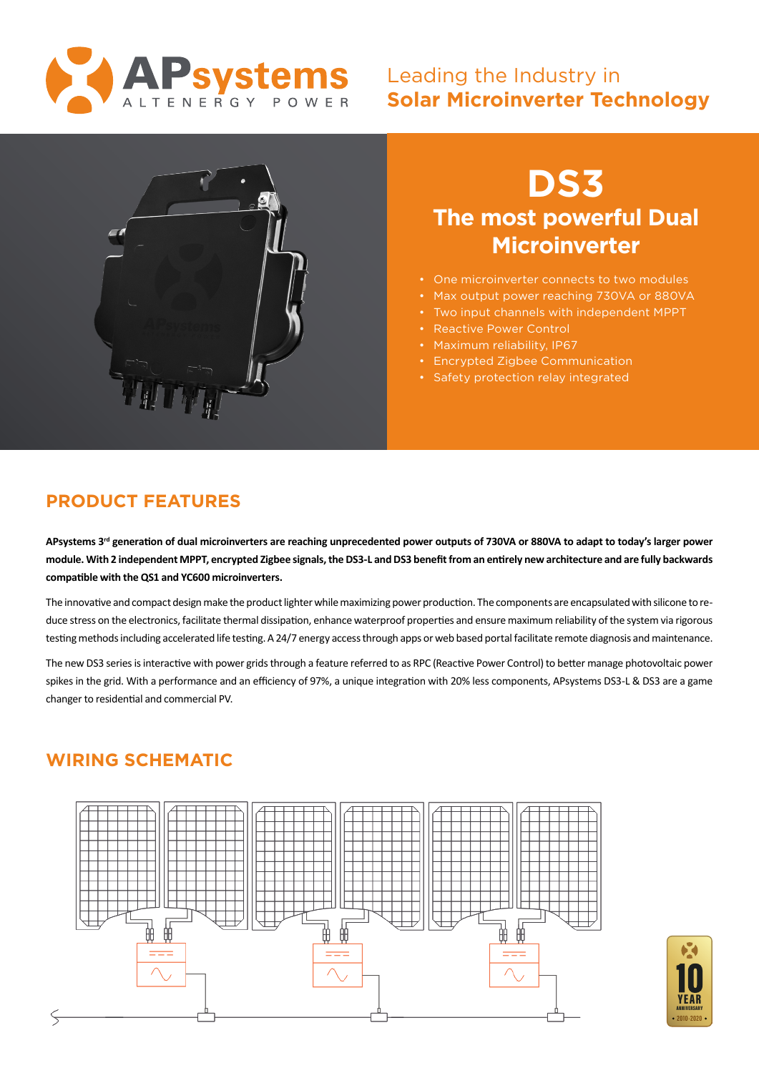

## Leading the Industry in **Solar Microinverter Technology**



# **DS3 The most powerful Dual Microinverter**

- One microinverter connects to two modules
- Max output power reaching 730VA or 880VA
- Two input channels with independent MPPT
- Reactive Power Control
- Maximum reliability, IP67
- Encrypted Zigbee Communication
- Safety protection relay integrated

## **PRODUCT FEATURES**

**APsystems 3rd generation of dual microinverters are reaching unprecedented power outputs of 730VA or 880VA to adapt to today's larger power module. With 2 independent MPPT, encrypted Zigbee signals, the DS3-L and DS3 benefit from an entirely new architecture and are fully backwards compatible with the QS1 and YC600 microinverters.**

The innovative and compact design make the product lighter while maximizing power production. The components are encapsulated with silicone to reduce stress on the electronics, facilitate thermal dissipation, enhance waterproof properties and ensure maximum reliability of the system via rigorous testing methods including accelerated life testing. A 24/7 energy access through apps or web based portal facilitate remote diagnosis and maintenance.

The new DS3 series is interactive with power grids through a feature referred to as RPC (Reactive Power Control) to better manage photovoltaic power spikes in the grid. With a performance and an efficiency of 97%, a unique integration with 20% less components, APsystems DS3-L & DS3 are a game changer to residential and commercial PV.

## **WIRING SCHEMATIC**